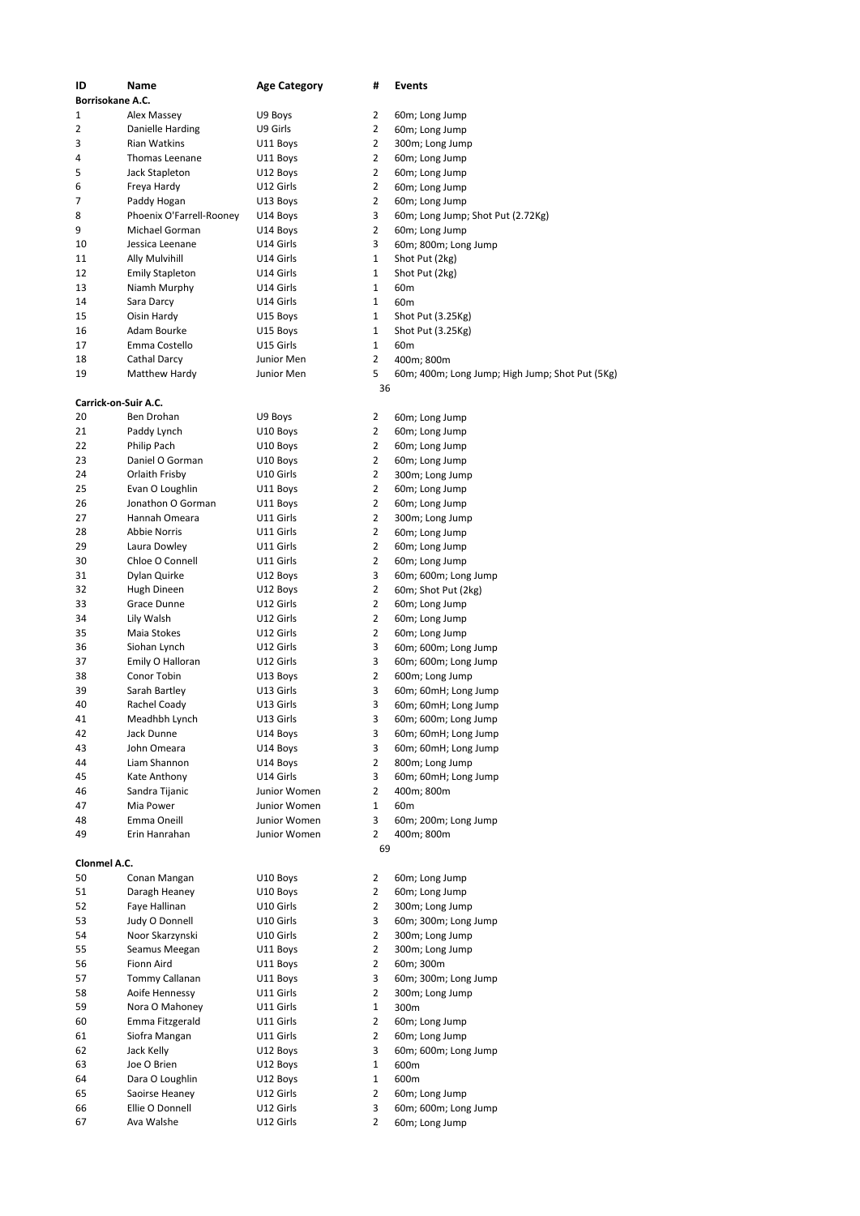| ID                   | Name                     | <b>Age Category</b> | #              | Events                                          |
|----------------------|--------------------------|---------------------|----------------|-------------------------------------------------|
| Borrisokane A.C.     |                          |                     |                |                                                 |
| $\mathbf{1}$         | Alex Massey              | U9 Boys             | 2              | 60m; Long Jump                                  |
| 2                    | Danielle Harding         | U9 Girls            | 2              | 60m; Long Jump                                  |
| 3                    | Rian Watkins             | U11 Boys            | 2              | 300m; Long Jump                                 |
| 4                    | Thomas Leenane           | U11 Boys            | 2              | 60m; Long Jump                                  |
| 5                    | Jack Stapleton           | U12 Boys            | 2              | 60m; Long Jump                                  |
| 6                    | Freya Hardy              | U12 Girls           | 2              | 60m; Long Jump                                  |
| $\overline{7}$       | Paddy Hogan              | U13 Boys            | 2              | 60m; Long Jump                                  |
| 8                    | Phoenix O'Farrell-Rooney | U14 Boys            | 3              | 60m; Long Jump; Shot Put (2.72Kg)               |
| 9                    | Michael Gorman           | U14 Boys            | 2              | 60m; Long Jump                                  |
| 10                   | Jessica Leenane          | U14 Girls           | 3              | 60m; 800m; Long Jump                            |
| 11                   |                          | U14 Girls           | 1              | Shot Put (2kg)                                  |
|                      | Ally Mulvihill           |                     |                |                                                 |
| 12                   | <b>Emily Stapleton</b>   | U14 Girls           | 1              | Shot Put (2kg)                                  |
| 13                   | Niamh Murphy             | U14 Girls           | 1              | 60m                                             |
| 14                   | Sara Darcy               | U14 Girls           | 1              | 60 <sub>m</sub>                                 |
| 15                   | Oisin Hardy              | U15 Boys            | 1              | Shot Put (3.25Kg)                               |
| 16                   | Adam Bourke              | U15 Boys            | 1              | Shot Put (3.25Kg)                               |
| 17                   | Emma Costello            | U15 Girls           | 1              | 60 <sub>m</sub>                                 |
| 18                   | Cathal Darcy             | Junior Men          | 2              | 400m; 800m                                      |
| 19                   | Matthew Hardy            | Junior Men          | 5              | 60m; 400m; Long Jump; High Jump; Shot Put (5Kg) |
|                      |                          |                     | 36             |                                                 |
| Carrick-on-Suir A.C. |                          |                     |                |                                                 |
| 20                   | Ben Drohan               | U9 Boys             | 2              | 60m; Long Jump                                  |
| 21                   | Paddy Lynch              | U10 Boys            | 2              | 60m; Long Jump                                  |
| 22                   | Philip Pach              | U10 Boys            | 2              | 60m; Long Jump                                  |
| 23                   | Daniel O Gorman          |                     |                |                                                 |
|                      |                          | U10 Boys            | 2              | 60m; Long Jump                                  |
| 24                   | Orlaith Frisby           | U10 Girls           | 2              | 300m; Long Jump                                 |
| 25                   | Evan O Loughlin          | U11 Boys            | 2              | 60m; Long Jump                                  |
| 26                   | Jonathon O Gorman        | U11 Boys            | 2              | 60m; Long Jump                                  |
| 27                   | Hannah Omeara            | U11 Girls           | 2              | 300m; Long Jump                                 |
| 28                   | <b>Abbie Norris</b>      | U11 Girls           | 2              | 60m; Long Jump                                  |
| 29                   | Laura Dowley             | U11 Girls           | $\overline{2}$ | 60m; Long Jump                                  |
| 30                   | Chloe O Connell          | U11 Girls           | 2              | 60m; Long Jump                                  |
| 31                   | Dylan Quirke             | U12 Boys            | 3              | 60m; 600m; Long Jump                            |
| 32                   | Hugh Dineen              | U12 Boys            | 2              | 60m; Shot Put (2kg)                             |
| 33                   | Grace Dunne              | U12 Girls           | 2              | 60m; Long Jump                                  |
| 34                   |                          |                     | 2              |                                                 |
|                      | Lily Walsh               | U12 Girls           |                | 60m; Long Jump                                  |
| 35                   | Maia Stokes              | U12 Girls           | 2              | 60m; Long Jump                                  |
| 36                   | Siohan Lynch             | U12 Girls           | 3              | 60m; 600m; Long Jump                            |
| 37                   | Emily O Halloran         | U12 Girls           | 3              | 60m; 600m; Long Jump                            |
| 38                   | Conor Tobin              | U13 Boys            | 2              | 600m; Long Jump                                 |
| 39                   | Sarah Bartley            | U13 Girls           | 3              | 60m; 60mH; Long Jump                            |
| 40                   | Rachel Coady             | U13 Girls           | 3              | 60m; 60mH; Long Jump                            |
| 41                   | Meadhbh Lynch            | U13 Girls           | 3              | 60m; 600m; Long Jump                            |
| 42                   | Jack Dunne               | U14 Boys            | 3              | 60m; 60mH; Long Jump                            |
| 43                   | John Omeara              | U14 Boys            | 3              | 60m; 60mH; Long Jump                            |
| 44                   | Liam Shannon             | U14 Boys            | 2              | 800m; Long Jump                                 |
| 45                   | Kate Anthony             | U14 Girls           | 3              | 60m; 60mH; Long Jump                            |
| 46                   | Sandra Tijanic           | Junior Women        | 2              |                                                 |
|                      |                          |                     |                | 400m; 800m                                      |
| 47                   | Mia Power                | Junior Women        | 1              | 60 <sub>m</sub>                                 |
| 48                   | Emma Oneill              | Junior Women        | 3              | 60m; 200m; Long Jump                            |
| 49                   | Erin Hanrahan            | Junior Women        | $\overline{2}$ | 400m; 800m                                      |
|                      |                          |                     | 69             |                                                 |
| Clonmel A.C.         |                          |                     |                |                                                 |
| 50                   | Conan Mangan             | U10 Boys            | 2              | 60m; Long Jump                                  |
| 51                   | Daragh Heaney            | U10 Boys            | 2              | 60m; Long Jump                                  |
| 52                   | Faye Hallinan            | U10 Girls           | 2              | 300m; Long Jump                                 |
| 53                   | Judy O Donnell           | U10 Girls           | 3              | 60m; 300m; Long Jump                            |
| 54                   | Noor Skarzynski          | U10 Girls           | 2              | 300m; Long Jump                                 |
| 55                   | Seamus Meegan            |                     | 2              |                                                 |
|                      |                          | U11 Boys            |                | 300m; Long Jump                                 |
| 56                   | Fionn Aird               | U11 Boys            | 2              | 60m; 300m                                       |
| 57                   | Tommy Callanan           | U11 Boys            | 3              | 60m; 300m; Long Jump                            |
| 58                   | Aoife Hennessy           | U11 Girls           | 2              | 300m; Long Jump                                 |
| 59                   | Nora O Mahoney           | U11 Girls           | 1              | 300m                                            |
| 60                   | Emma Fitzgerald          | U11 Girls           | 2              | 60m; Long Jump                                  |
| 61                   | Siofra Mangan            | U11 Girls           | 2              | 60m; Long Jump                                  |
| 62                   | Jack Kelly               | U12 Boys            | 3              | 60m; 600m; Long Jump                            |
| 63                   | Joe O Brien              | U12 Boys            | 1              | 600m                                            |
| 64                   | Dara O Loughlin          |                     | 1              | 600m                                            |
|                      |                          | U12 Boys            |                |                                                 |
| 65                   | Saoirse Heaney           | U12 Girls           | 2              | 60m; Long Jump                                  |
| 66                   | Ellie O Donnell          | U12 Girls           | 3              | 60m; 600m; Long Jump                            |
| 67                   | Ava Walshe               | U12 Girls           | 2              | 60m; Long Jump                                  |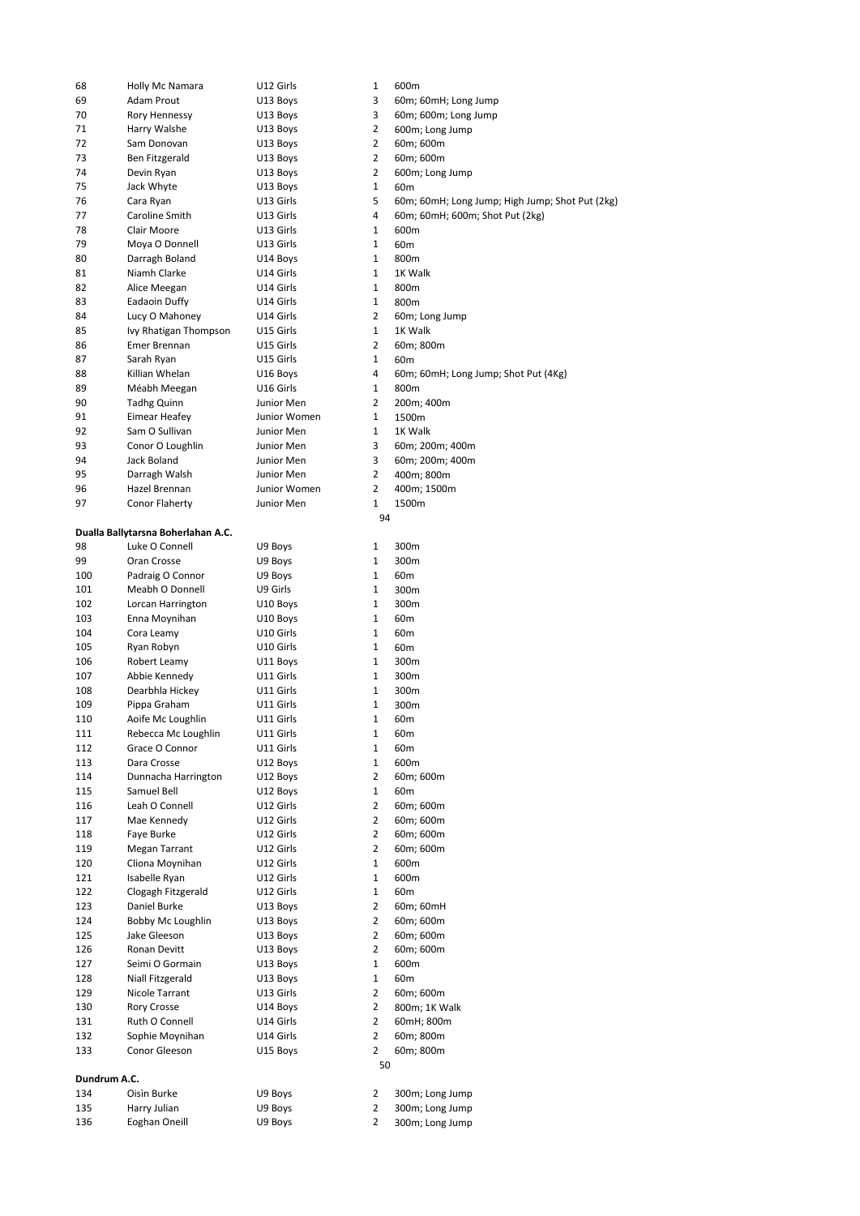| 68           | Holly Mc Namara                    | U12 Girls    | 1              | 600m                                            |
|--------------|------------------------------------|--------------|----------------|-------------------------------------------------|
| 69           | Adam Prout                         | U13 Boys     | 3              | 60m; 60mH; Long Jump                            |
| 70           | Rory Hennessy                      | U13 Boys     | 3              | 60m; 600m; Long Jump                            |
| 71           | Harry Walshe                       | U13 Boys     | $\overline{2}$ | 600m; Long Jump                                 |
|              |                                    |              |                |                                                 |
| 72           | Sam Donovan                        | U13 Boys     | $\overline{2}$ | 60m; 600m                                       |
| 73           | Ben Fitzgerald                     | U13 Boys     | $\overline{2}$ | 60m; 600m                                       |
| 74           | Devin Ryan                         | U13 Boys     | $\overline{2}$ | 600m; Long Jump                                 |
| 75           | Jack Whyte                         | U13 Boys     | 1              | 60 <sub>m</sub>                                 |
| 76           | Cara Ryan                          | U13 Girls    | 5              | 60m; 60mH; Long Jump; High Jump; Shot Put (2kg) |
| 77           | Caroline Smith                     | U13 Girls    | 4              | 60m; 60mH; 600m; Shot Put (2kg)                 |
|              |                                    |              | $\mathbf{1}$   |                                                 |
| 78           | Clair Moore                        | U13 Girls    |                | 600m                                            |
| 79           | Moya O Donnell                     | U13 Girls    | $\mathbf{1}$   | 60 <sub>m</sub>                                 |
| 80           | Darragh Boland                     | U14 Boys     | $\mathbf{1}$   | 800m                                            |
| 81           | Niamh Clarke                       | U14 Girls    | $\mathbf{1}$   | 1K Walk                                         |
| 82           | Alice Meegan                       | U14 Girls    | $\mathbf{1}$   | 800m                                            |
| 83           | Eadaoin Duffy                      | U14 Girls    | $\mathbf{1}$   | 800m                                            |
|              |                                    |              | 2              |                                                 |
| 84           | Lucy O Mahoney                     | U14 Girls    |                | 60m; Long Jump                                  |
| 85           | Ivy Rhatigan Thompson              | U15 Girls    | $\mathbf{1}$   | 1K Walk                                         |
| 86           | Emer Brennan                       | U15 Girls    | $\overline{2}$ | 60m; 800m                                       |
| 87           | Sarah Ryan                         | U15 Girls    | $\mathbf{1}$   | 60 <sub>m</sub>                                 |
| 88           | Killian Whelan                     | U16 Boys     | 4              | 60m; 60mH; Long Jump; Shot Put (4Kg)            |
| 89           | Méabh Meegan                       | U16 Girls    | $\mathbf{1}$   | 800m                                            |
| 90           | <b>Tadhg Quinn</b>                 | Junior Men   | $\overline{2}$ | 200m; 400m                                      |
|              |                                    |              |                |                                                 |
| 91           | Eimear Heafey                      | Junior Women | $\mathbf{1}$   | 1500m                                           |
| 92           | Sam O Sullivan                     | Junior Men   | $\mathbf{1}$   | 1K Walk                                         |
| 93           | Conor O Loughlin                   | Junior Men   | 3              | 60m; 200m; 400m                                 |
| 94           | Jack Boland                        | Junior Men   | 3              | 60m; 200m; 400m                                 |
| 95           | Darragh Walsh                      | Junior Men   | $\overline{2}$ | 400m; 800m                                      |
| 96           | Hazel Brennan                      | Junior Women | $\overline{2}$ | 400m; 1500m                                     |
|              |                                    |              |                |                                                 |
| 97           | Conor Flaherty                     | Junior Men   | 1              | 1500m                                           |
|              |                                    |              | 94             |                                                 |
|              | Dualla Ballytarsna Boherlahan A.C. |              |                |                                                 |
| 98           | Luke O Connell                     | U9 Boys      | 1              | 300m                                            |
| 99           | Oran Crosse                        | U9 Boys      | 1              | 300m                                            |
| 100          | Padraig O Connor                   | U9 Boys      | $\mathbf{1}$   | 60 <sub>m</sub>                                 |
| 101          | Meabh O Donnell                    | U9 Girls     | $\mathbf{1}$   | 300m                                            |
|              |                                    |              |                |                                                 |
| 102          | Lorcan Harrington                  | U10 Boys     | $\mathbf{1}$   | 300m                                            |
| 103          | Enna Moynihan                      | U10 Boys     | $\mathbf{1}$   | 60 <sub>m</sub>                                 |
| 104          | Cora Leamy                         | U10 Girls    | $\mathbf{1}$   | 60 <sub>m</sub>                                 |
| 105          | Ryan Robyn                         | U10 Girls    | 1              | 60 <sub>m</sub>                                 |
| 106          | Robert Leamy                       | U11 Boys     | $\mathbf{1}$   | 300m                                            |
| 107          | Abbie Kennedy                      | U11 Girls    | 1              | 300m                                            |
|              | Dearbhla Hickey                    |              | 1              |                                                 |
| 108          |                                    | U11 Girls    |                | 300m                                            |
| 109          | Pippa Graham                       | U11 Girls    | $\mathbf{1}$   | 300m                                            |
| 110          | Aoife Mc Loughlin                  | U11 Girls    | $\mathbf{1}$   | 60 <sub>m</sub>                                 |
| 111          | Rebecca Mc Loughlin                | U11 Girls    | 1              | 60m                                             |
| 112          | Grace O Connor                     | U11 Girls    | $\mathbf{1}$   | 60 <sub>m</sub>                                 |
| 113          | Dara Crosse                        | U12 Boys     | 1              | 600m                                            |
|              |                                    |              |                |                                                 |
| 114          | Dunnacha Harrington                | U12 Boys     | 2              | 60m; 600m                                       |
| 115          | Samuel Bell                        | U12 Boys     | $\mathbf{1}$   | 60 <sub>m</sub>                                 |
| 116          | Leah O Connell                     | U12 Girls    | $\overline{2}$ | 60m; 600m                                       |
| 117          | Mae Kennedy                        | U12 Girls    | 2              | 60m; 600m                                       |
| 118          | Faye Burke                         | U12 Girls    | $\overline{2}$ | 60m; 600m                                       |
| 119          | Megan Tarrant                      | U12 Girls    | $\overline{2}$ | 60m; 600m                                       |
|              |                                    |              |                |                                                 |
| 120          | Cliona Moynihan                    | U12 Girls    | 1              | 600m                                            |
| 121          | Isabelle Ryan                      | U12 Girls    | $\mathbf{1}$   | 600m                                            |
| 122          | Clogagh Fitzgerald                 | U12 Girls    | $\mathbf{1}$   | 60 <sub>m</sub>                                 |
| 123          | Daniel Burke                       | U13 Boys     | 2              | 60m; 60mH                                       |
| 124          | Bobby Mc Loughlin                  | U13 Boys     | $\overline{2}$ | 60m; 600m                                       |
| 125          | Jake Gleeson                       | U13 Boys     | $\overline{2}$ | 60m; 600m                                       |
|              |                                    |              |                |                                                 |
| 126          | Ronan Devitt                       | U13 Boys     | $\overline{2}$ | 60m; 600m                                       |
| 127          | Seimi O Gormain                    | U13 Boys     | $\mathbf{1}$   | 600m                                            |
| 128          | Niall Fitzgerald                   | U13 Boys     | $\mathbf{1}$   | 60 <sub>m</sub>                                 |
| 129          | Nicole Tarrant                     | U13 Girls    | 2              | 60m; 600m                                       |
| 130          | <b>Rory Crosse</b>                 | U14 Boys     | $\overline{2}$ | 800m; 1K Walk                                   |
| 131          | Ruth O Connell                     | U14 Girls    | $\overline{2}$ | 60mH; 800m                                      |
|              |                                    |              | $\overline{2}$ |                                                 |
| 132          | Sophie Moynihan                    | U14 Girls    |                | 60m; 800m                                       |
| 133          | Conor Gleeson                      | U15 Boys     | $\overline{2}$ | 60m; 800m                                       |
|              |                                    |              | 50             |                                                 |
| Dundrum A.C. |                                    |              |                |                                                 |
| 134          | Oisìn Burke                        | U9 Boys      | 2              | 300m; Long Jump                                 |
| 135          | Harry Julian                       | U9 Boys      | $\overline{2}$ | 300m; Long Jump                                 |
|              |                                    |              | 2              |                                                 |
| 136          | Eoghan Oneill                      | U9 Boys      |                | 300m; Long Jump                                 |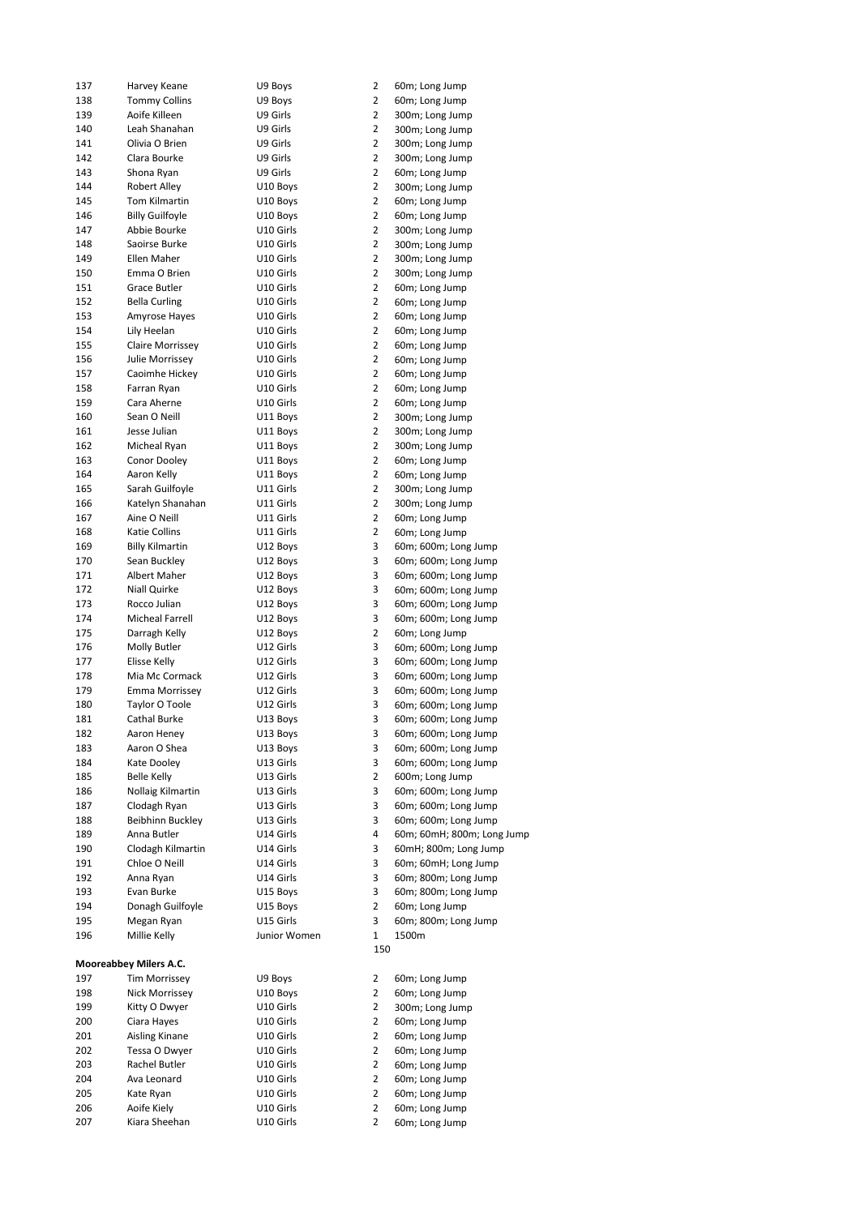| 137 | Harvey Keane           | U9 Boys      | 2              | 60m; Long Jump             |
|-----|------------------------|--------------|----------------|----------------------------|
| 138 | <b>Tommy Collins</b>   | U9 Boys      | $\overline{2}$ | 60m; Long Jump             |
| 139 | Aoife Killeen          | U9 Girls     | $\overline{2}$ | 300m; Long Jump            |
| 140 | Leah Shanahan          | U9 Girls     | 2              | 300m; Long Jump            |
| 141 | Olivia O Brien         | U9 Girls     | $\overline{2}$ |                            |
|     |                        |              |                | 300m; Long Jump            |
| 142 | Clara Bourke           | U9 Girls     | $\overline{2}$ | 300m; Long Jump            |
| 143 | Shona Ryan             | U9 Girls     | 2              | 60m; Long Jump             |
| 144 | <b>Robert Alley</b>    | U10 Boys     | $\overline{2}$ | 300m; Long Jump            |
| 145 | Tom Kilmartin          | U10 Boys     | $\overline{2}$ | 60m; Long Jump             |
|     |                        |              | 2              |                            |
| 146 | <b>Billy Guilfoyle</b> | U10 Boys     |                | 60m; Long Jump             |
| 147 | Abbie Bourke           | U10 Girls    | $\overline{2}$ | 300m; Long Jump            |
| 148 | Saoirse Burke          | U10 Girls    | $\overline{2}$ | 300m; Long Jump            |
| 149 | Ellen Maher            | U10 Girls    | 2              | 300m; Long Jump            |
| 150 | Emma O Brien           | U10 Girls    | $\overline{2}$ | 300m; Long Jump            |
|     |                        |              |                |                            |
| 151 | <b>Grace Butler</b>    | U10 Girls    | $\overline{2}$ | 60m; Long Jump             |
| 152 | <b>Bella Curling</b>   | U10 Girls    | 2              | 60m; Long Jump             |
| 153 | Amyrose Hayes          | U10 Girls    | $\overline{2}$ | 60m; Long Jump             |
| 154 | Lily Heelan            | U10 Girls    | $\overline{2}$ | 60m; Long Jump             |
| 155 | Claire Morrissey       | U10 Girls    | 2              | 60m; Long Jump             |
|     |                        |              |                |                            |
| 156 | Julie Morrissey        | U10 Girls    | $\overline{2}$ | 60m; Long Jump             |
| 157 | Caoimhe Hickey         | U10 Girls    | $\overline{2}$ | 60m; Long Jump             |
| 158 | Farran Ryan            | U10 Girls    | 2              | 60m; Long Jump             |
| 159 | Cara Aherne            | U10 Girls    | $\overline{2}$ | 60m; Long Jump             |
|     |                        |              | $\overline{2}$ |                            |
| 160 | Sean O Neill           | U11 Boys     |                | 300m; Long Jump            |
| 161 | Jesse Julian           | U11 Boys     | 2              | 300m; Long Jump            |
| 162 | Micheal Ryan           | U11 Boys     | $\overline{2}$ | 300m; Long Jump            |
| 163 | Conor Dooley           | U11 Boys     | $\overline{2}$ | 60m; Long Jump             |
| 164 | Aaron Kelly            | U11 Boys     | 2              | 60m; Long Jump             |
|     |                        |              |                |                            |
| 165 | Sarah Guilfoyle        | U11 Girls    | $\overline{2}$ | 300m; Long Jump            |
| 166 | Katelyn Shanahan       | U11 Girls    | $\overline{2}$ | 300m; Long Jump            |
| 167 | Aine O Neill           | U11 Girls    | $\overline{2}$ | 60m; Long Jump             |
| 168 | Katie Collins          | U11 Girls    | 2              | 60m; Long Jump             |
| 169 | <b>Billy Kilmartin</b> | U12 Boys     | 3              | 60m; 600m; Long Jump       |
|     |                        |              |                |                            |
| 170 | Sean Buckley           | U12 Boys     | 3              | 60m; 600m; Long Jump       |
| 171 | Albert Maher           | U12 Boys     | 3              | 60m; 600m; Long Jump       |
| 172 | Niall Quirke           | U12 Boys     | 3              | 60m; 600m; Long Jump       |
| 173 | Rocco Julian           | U12 Boys     | 3              | 60m; 600m; Long Jump       |
| 174 | Micheal Farrell        | U12 Boys     | 3              |                            |
|     |                        |              |                | 60m; 600m; Long Jump       |
| 175 | Darragh Kelly          | U12 Boys     | $\overline{2}$ | 60m; Long Jump             |
| 176 | Molly Butler           | U12 Girls    | 3              | 60m; 600m; Long Jump       |
| 177 | Elisse Kelly           | U12 Girls    | 3              | 60m; 600m; Long Jump       |
| 178 | Mia Mc Cormack         | U12 Girls    | 3              | 60m; 600m; Long Jump       |
| 179 | <b>Emma Morrissey</b>  | U12 Girls    | 3              | 60m; 600m; Long Jump       |
|     |                        |              |                |                            |
| 180 | Taylor O Toole         | U12 Girls    | 3              | 60m; 600m; Long Jump       |
| 181 | Cathal Burke           | U13 Boys     | 3              | 60m; 600m; Long Jump       |
| 182 | Aaron Heney            | U13 Boys     | 3              | 60m; 600m; Long Jump       |
| 183 | Aaron O Shea           | U13 Boys     | 3              | 60m; 600m; Long Jump       |
|     | Kate Dooley            |              | 3              |                            |
| 184 |                        | U13 Girls    |                | 60m; 600m; Long Jump       |
| 185 | <b>Belle Kelly</b>     | U13 Girls    | $\overline{2}$ | 600m; Long Jump            |
| 186 | Nollaig Kilmartin      | U13 Girls    | 3              | 60m; 600m; Long Jump       |
| 187 | Clodagh Ryan           | U13 Girls    | 3              | 60m; 600m; Long Jump       |
| 188 | Beibhinn Buckley       | U13 Girls    | 3              | 60m; 600m; Long Jump       |
|     | Anna Butler            |              | 4              |                            |
| 189 |                        | U14 Girls    |                | 60m; 60mH; 800m; Long Jump |
| 190 | Clodagh Kilmartin      | U14 Girls    | 3              | 60mH; 800m; Long Jump      |
| 191 | Chloe O Neill          | U14 Girls    | 3              | 60m; 60mH; Long Jump       |
| 192 | Anna Ryan              | U14 Girls    | 3              | 60m; 800m; Long Jump       |
| 193 | Evan Burke             | U15 Boys     | 3              | 60m; 800m; Long Jump       |
|     |                        | U15 Boys     | $\overline{2}$ |                            |
| 194 | Donagh Guilfoyle       |              |                | 60m; Long Jump             |
| 195 | Megan Ryan             | U15 Girls    | 3              | 60m; 800m; Long Jump       |
| 196 | Millie Kelly           | Junior Women | 1              | 1500m                      |
|     |                        |              | 150            |                            |
|     | Mooreabbey Milers A.C. |              |                |                            |
| 197 | <b>Tim Morrissey</b>   | U9 Boys      | 2              | 60m; Long Jump             |
|     |                        |              |                |                            |
| 198 | Nick Morrissey         | U10 Boys     | $\overline{2}$ | 60m; Long Jump             |
| 199 | Kitty O Dwyer          | U10 Girls    | $\overline{2}$ | 300m; Long Jump            |
| 200 | Ciara Hayes            | U10 Girls    | 2              | 60m; Long Jump             |
| 201 | Aisling Kinane         | U10 Girls    | $\overline{2}$ | 60m; Long Jump             |
|     | Tessa O Dwyer          | U10 Girls    | $\overline{2}$ | 60m; Long Jump             |
| 202 |                        |              |                |                            |
| 203 | Rachel Butler          | U10 Girls    | 2              | 60m; Long Jump             |
| 204 | Ava Leonard            | U10 Girls    | $\overline{2}$ | 60m; Long Jump             |
| 205 | Kate Ryan              | U10 Girls    | 2              | 60m; Long Jump             |
| 206 | Aoife Kiely            | U10 Girls    | 2              | 60m; Long Jump             |
| 207 | Kiara Sheehan          | U10 Girls    | $\overline{2}$ | 60m; Long Jump             |
|     |                        |              |                |                            |
|     |                        |              |                |                            |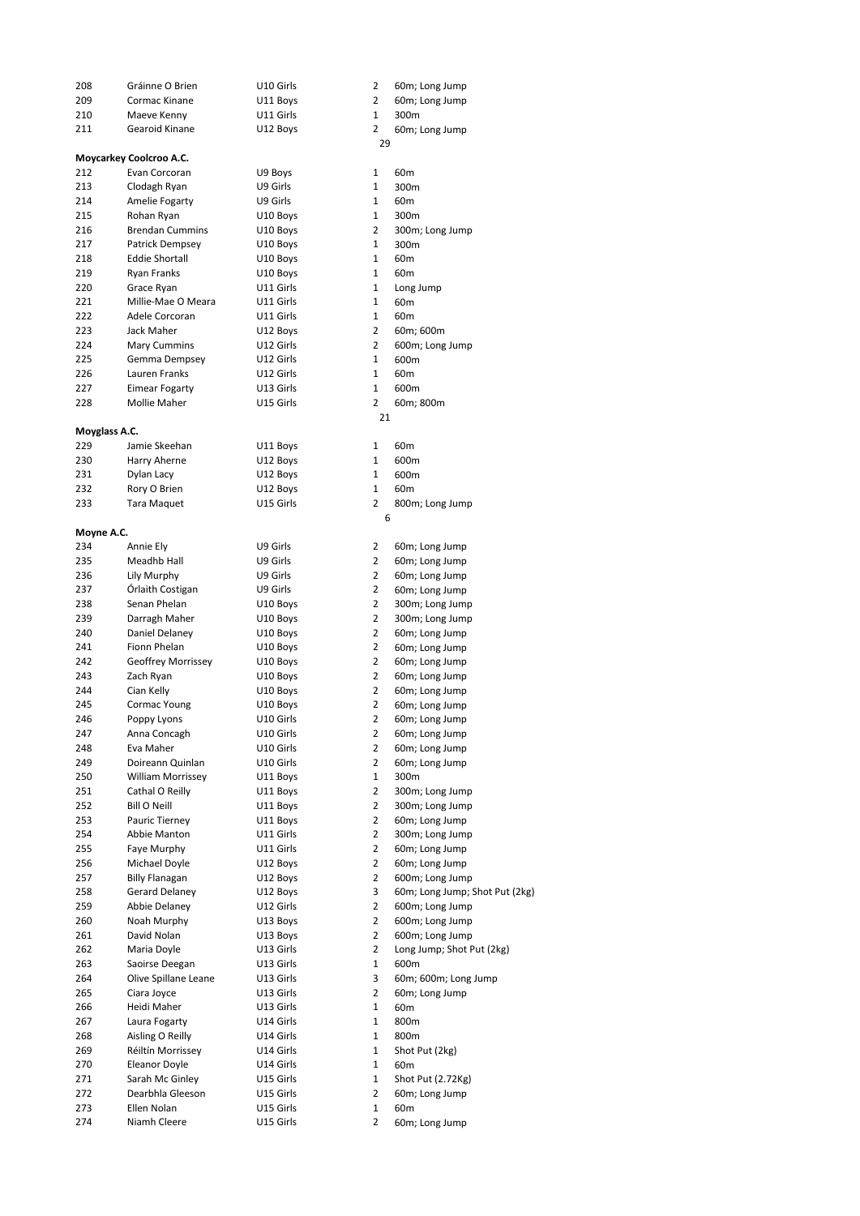| 208           | Gráinne O Brien          | U10 Girls | 2              | 60m; Long Jump                 |
|---------------|--------------------------|-----------|----------------|--------------------------------|
| 209           | Cormac Kinane            | U11 Boys  | 2              | 60m; Long Jump                 |
|               |                          |           |                |                                |
| 210           | Maeve Kenny              | U11 Girls | $\mathbf{1}$   | 300m                           |
| 211           | Gearoid Kinane           | U12 Boys  | 2              | 60m; Long Jump                 |
|               |                          |           | 29             |                                |
|               | Moycarkey Coolcroo A.C.  |           |                |                                |
| 212           | Evan Corcoran            | U9 Boys   | 1              | 60m                            |
|               |                          |           |                |                                |
| 213           | Clodagh Ryan             | U9 Girls  | 1              | 300m                           |
| 214           | Amelie Fogarty           | U9 Girls  | 1              | 60m                            |
| 215           | Rohan Ryan               | U10 Boys  | 1              | 300m                           |
| 216           | <b>Brendan Cummins</b>   | U10 Boys  | 2              | 300m; Long Jump                |
| 217           |                          |           | $\mathbf{1}$   | 300m                           |
|               | Patrick Dempsey          | U10 Boys  |                |                                |
| 218           | <b>Eddie Shortall</b>    | U10 Boys  | 1              | 60m                            |
| 219           | <b>Ryan Franks</b>       | U10 Boys  | 1              | 60 <sub>m</sub>                |
| 220           | Grace Ryan               | U11 Girls | 1              | Long Jump                      |
| 221           | Millie-Mae O Meara       | U11 Girls | $\mathbf{1}$   | 60 <sub>m</sub>                |
|               |                          |           |                |                                |
| 222           | Adele Corcoran           | U11 Girls | 1              | 60 <sub>m</sub>                |
| 223           | Jack Maher               | U12 Boys  | 2              | 60m; 600m                      |
| 224           | <b>Mary Cummins</b>      | U12 Girls | 2              | 600m; Long Jump                |
| 225           | Gemma Dempsey            | U12 Girls | 1              | 600m                           |
| 226           | Lauren Franks            | U12 Girls | $\mathbf{1}$   | 60 <sub>m</sub>                |
|               |                          |           |                |                                |
| 227           | Eimear Fogarty           | U13 Girls | $\mathbf{1}$   | 600m                           |
| 228           | Mollie Maher             | U15 Girls | 2              | 60m; 800m                      |
|               |                          |           | 21             |                                |
| Moyglass A.C. |                          |           |                |                                |
| 229           | Jamie Skeehan            | U11 Boys  | 1              | 60 <sub>m</sub>                |
|               |                          |           |                |                                |
| 230           | Harry Aherne             | U12 Boys  | 1              | 600m                           |
| 231           | Dylan Lacy               | U12 Boys  | 1              | 600m                           |
| 232           | Rory O Brien             | U12 Boys  | $\mathbf{1}$   | 60 <sub>m</sub>                |
| 233           | <b>Tara Maquet</b>       | U15 Girls | 2              | 800m; Long Jump                |
|               |                          |           |                |                                |
|               |                          |           | 6              |                                |
| Moyne A.C.    |                          |           |                |                                |
| 234           | Annie Ely                | U9 Girls  | 2              | 60m; Long Jump                 |
| 235           | Meadhb Hall              | U9 Girls  | 2              | 60m; Long Jump                 |
| 236           | Lily Murphy              | U9 Girls  | 2              | 60m; Long Jump                 |
|               |                          |           |                |                                |
| 237           | Orlaith Costigan         | U9 Girls  | 2              | 60m; Long Jump                 |
| 238           | Senan Phelan             | U10 Boys  | 2              | 300m; Long Jump                |
| 239           | Darragh Maher            | U10 Boys  | 2              | 300m; Long Jump                |
| 240           | Daniel Delaney           | U10 Boys  | 2              | 60m; Long Jump                 |
| 241           | Fionn Phelan             | U10 Boys  | 2              | 60m; Long Jump                 |
|               |                          |           |                |                                |
| 242           | Geoffrey Morrissey       | U10 Boys  | 2              | 60m; Long Jump                 |
| 243           | Zach Ryan                | U10 Boys  | 2              | 60m; Long Jump                 |
| 244           | Cian Kelly               | U10 Boys  | 2              | 60m; Long Jump                 |
| 245           | Cormac Young             | U10 Boys  | 2              | 60m; Long Jump                 |
| 246           | Poppy Lyons              | U10 Girls | 2              | 60m; Long Jump                 |
|               |                          |           |                |                                |
| 247           | Anna Concagh             | U10 Girls | 2              | 60m; Long Jump                 |
| 248           | Eva Maher                | U10 Girls | 2              | 60m; Long Jump                 |
| 249           | Doireann Quinlan         | U10 Girls | 2              | 60m; Long Jump                 |
| 250           | <b>William Morrissey</b> | U11 Boys  | 1              | 300m                           |
| 251           | Cathal O Reilly          |           |                |                                |
|               |                          | U11 Boys  | 2              | 300m; Long Jump                |
| 252           | <b>Bill O Neill</b>      | U11 Boys  | 2              | 300m; Long Jump                |
| 253           | Pauric Tierney           | U11 Boys  | 2              | 60m; Long Jump                 |
| 254           | Abbie Manton             | U11 Girls | $\overline{2}$ | 300m; Long Jump                |
| 255           | Faye Murphy              | U11 Girls | $\overline{2}$ | 60m; Long Jump                 |
|               |                          |           |                |                                |
| 256           | Michael Doyle            | U12 Boys  | 2              | 60m; Long Jump                 |
| 257           | <b>Billy Flanagan</b>    | U12 Boys  | $\overline{2}$ | 600m; Long Jump                |
| 258           | Gerard Delaney           | U12 Boys  | 3              | 60m; Long Jump; Shot Put (2kg) |
| 259           | Abbie Delaney            | U12 Girls | 2              | 600m; Long Jump                |
| 260           | Noah Murphy              | U13 Boys  | $\overline{2}$ | 600m; Long Jump                |
|               |                          |           |                |                                |
| 261           | David Nolan              | U13 Boys  | $\overline{2}$ | 600m; Long Jump                |
| 262           | Maria Doyle              | U13 Girls | $\overline{2}$ | Long Jump; Shot Put (2kg)      |
| 263           | Saoirse Deegan           | U13 Girls | 1              | 600m                           |
| 264           | Olive Spillane Leane     | U13 Girls | 3              | 60m; 600m; Long Jump           |
| 265           | Ciara Joyce              | U13 Girls | 2              | 60m; Long Jump                 |
|               |                          |           |                |                                |
| 266           | Heidi Maher              | U13 Girls | 1              | 60 <sub>m</sub>                |
| 267           | Laura Fogarty            | U14 Girls | 1              | 800m                           |
| 268           | Aisling O Reilly         | U14 Girls | $\mathbf{1}$   | 800m                           |
| 269           | Réiltín Morrissey        | U14 Girls | 1              | Shot Put (2kg)                 |
| 270           | <b>Eleanor Doyle</b>     | U14 Girls | $\mathbf{1}$   | 60m                            |
|               |                          |           |                |                                |
| 271           | Sarah Mc Ginley          | U15 Girls | 1              | Shot Put (2.72Kg)              |
| 272           | Dearbhla Gleeson         | U15 Girls | 2              | 60m; Long Jump                 |
| 273           | Ellen Nolan              | U15 Girls | $\mathbf{1}$   | 60 <sub>m</sub>                |
| 274           | Niamh Cleere             | U15 Girls | $\overline{2}$ | 60m; Long Jump                 |
|               |                          |           |                |                                |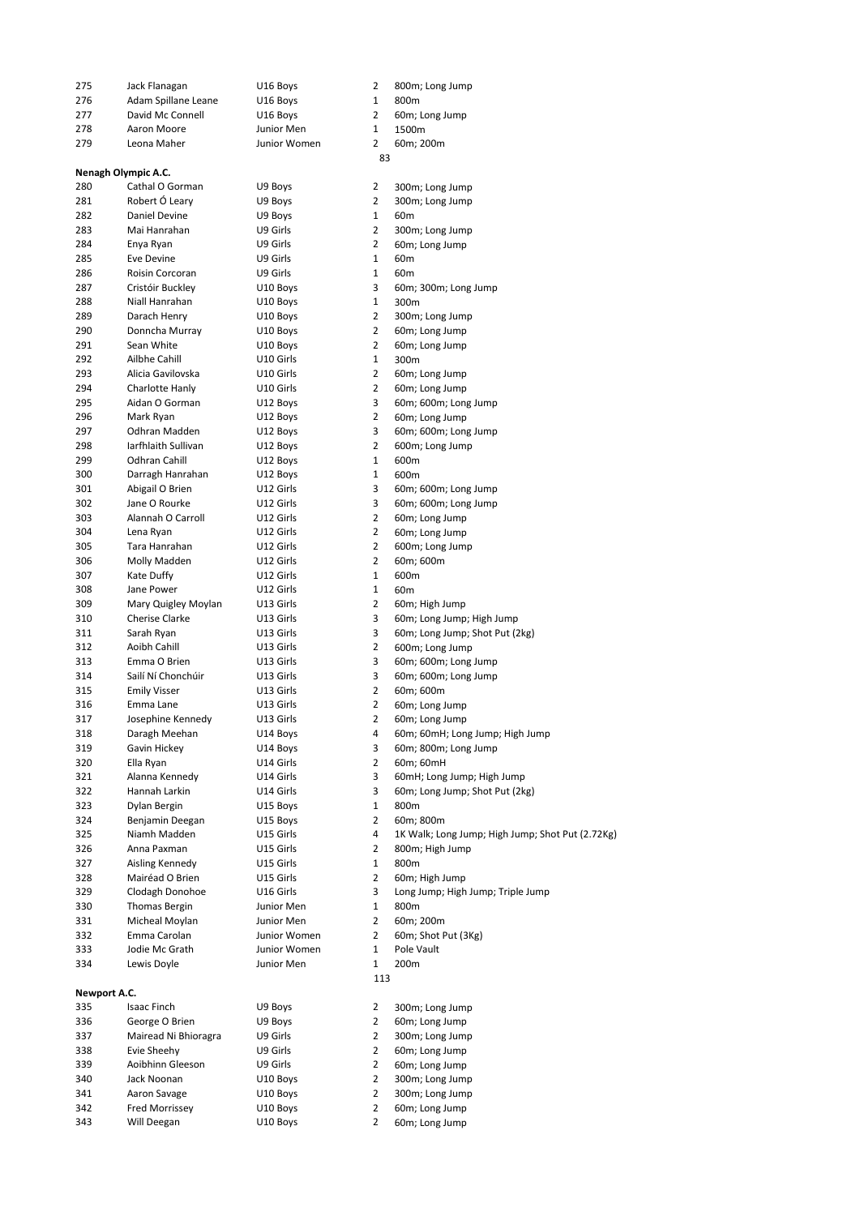| 275          | Jack Flanagan        | U16 Boys     | 2              | 800m; Long Jump                                  |
|--------------|----------------------|--------------|----------------|--------------------------------------------------|
| 276          | Adam Spillane Leane  | U16 Boys     | 1              | 800m                                             |
| 277          | David Mc Connell     | U16 Boys     | 2              | 60m; Long Jump                                   |
| 278          | Aaron Moore          | Junior Men   | $\mathbf{1}$   | 1500m                                            |
| 279          | Leona Maher          | Junior Women | $\overline{2}$ | 60m; 200m                                        |
|              |                      |              | 83             |                                                  |
|              | Nenagh Olympic A.C.  |              |                |                                                  |
| 280          | Cathal O Gorman      | U9 Boys      | 2              | 300m; Long Jump                                  |
| 281          | Robert Ó Leary       | U9 Boys      | 2              | 300m; Long Jump                                  |
| 282          | Daniel Devine        | U9 Boys      | $\mathbf{1}$   | 60m                                              |
| 283          | Mai Hanrahan         | U9 Girls     | 2              | 300m; Long Jump                                  |
| 284          | Enya Ryan            | U9 Girls     | 2              | 60m; Long Jump                                   |
| 285          | Eve Devine           | U9 Girls     | $\mathbf{1}$   |                                                  |
|              |                      |              |                | 60m                                              |
| 286          | Roisin Corcoran      | U9 Girls     | $\mathbf{1}$   | 60 <sub>m</sub>                                  |
| 287          | Cristóir Buckley     | U10 Boys     | 3              | 60m; 300m; Long Jump                             |
| 288          | Niall Hanrahan       | U10 Boys     | $\mathbf{1}$   | 300m                                             |
| 289          | Darach Henry         | U10 Boys     | $\overline{2}$ | 300m; Long Jump                                  |
| 290          | Donncha Murray       | U10 Boys     | 2              | 60m; Long Jump                                   |
| 291          | Sean White           | U10 Boys     | $\overline{2}$ | 60m; Long Jump                                   |
| 292          | Ailbhe Cahill        | U10 Girls    | $\mathbf{1}$   | 300m                                             |
| 293          | Alicia Gavilovska    | U10 Girls    | 2              | 60m; Long Jump                                   |
| 294          | Charlotte Hanly      | U10 Girls    | $\overline{2}$ | 60m; Long Jump                                   |
| 295          | Aidan O Gorman       | U12 Boys     | 3              | 60m; 600m; Long Jump                             |
| 296          | Mark Ryan            | U12 Boys     | 2              | 60m; Long Jump                                   |
| 297          | Odhran Madden        | U12 Boys     | 3              | 60m; 600m; Long Jump                             |
| 298          | Iarfhlaith Sullivan  | U12 Boys     | $\overline{2}$ | 600m; Long Jump                                  |
| 299          | <b>Odhran Cahill</b> | U12 Boys     | 1              | 600m                                             |
| 300          | Darragh Hanrahan     | U12 Boys     | $\mathbf{1}$   | 600m                                             |
| 301          | Abigail O Brien      | U12 Girls    | 3              | 60m; 600m; Long Jump                             |
| 302          | Jane O Rourke        | U12 Girls    | 3              | 60m; 600m; Long Jump                             |
|              |                      |              | $\overline{2}$ |                                                  |
| 303          | Alannah O Carroll    | U12 Girls    |                | 60m; Long Jump                                   |
| 304          | Lena Ryan            | U12 Girls    | $\overline{2}$ | 60m; Long Jump                                   |
| 305          | Tara Hanrahan        | U12 Girls    | 2              | 600m; Long Jump                                  |
| 306          | Molly Madden         | U12 Girls    | 2              | 60m; 600m                                        |
| 307          | Kate Duffy           | U12 Girls    | $\mathbf{1}$   | 600m                                             |
| 308          | Jane Power           | U12 Girls    | 1              | 60m                                              |
| 309          | Mary Quigley Moylan  | U13 Girls    | $\overline{2}$ | 60m; High Jump                                   |
| 310          | Cherise Clarke       | U13 Girls    | 3              | 60m; Long Jump; High Jump                        |
| 311          | Sarah Ryan           | U13 Girls    | 3              | 60m; Long Jump; Shot Put (2kg)                   |
| 312          | Aoibh Cahill         | U13 Girls    | $\overline{2}$ | 600m; Long Jump                                  |
| 313          | Emma O Brien         | U13 Girls    | 3              | 60m; 600m; Long Jump                             |
| 314          | Sailí Ní Chonchúir   | U13 Girls    | 3              | 60m; 600m; Long Jump                             |
| 315          | <b>Emily Visser</b>  | U13 Girls    | $\overline{2}$ | 60m; 600m                                        |
| 316          | Emma Lane            | U13 Girls    | 2              | 60m; Long Jump                                   |
| 317          | Josephine Kennedy    | U13 Girls    | 2              | 60m; Long Jump                                   |
| 318          | Daragh Meehan        | U14 Boys     | 4              | 60m; 60mH; Long Jump; High Jump                  |
| 319          | Gavin Hickey         | U14 Boys     | 3              | 60m; 800m; Long Jump                             |
| 320          | Ella Ryan            |              | $\overline{2}$ |                                                  |
|              |                      | U14 Girls    | 3              | 60m; 60mH                                        |
| 321          | Alanna Kennedy       | U14 Girls    |                | 60mH; Long Jump; High Jump                       |
| 322          | Hannah Larkin        | U14 Girls    | 3              | 60m; Long Jump; Shot Put (2kg)                   |
| 323          | Dylan Bergin         | U15 Boys     | $\mathbf{1}$   | 800m                                             |
| 324          | Benjamin Deegan      | U15 Boys     | 2              | 60m; 800m                                        |
| 325          | Niamh Madden         | U15 Girls    | 4              | 1K Walk; Long Jump; High Jump; Shot Put (2.72Kg) |
| 326          | Anna Paxman          | U15 Girls    | 2              | 800m; High Jump                                  |
| 327          | Aisling Kennedy      | U15 Girls    | 1              | 800m                                             |
| 328          | Mairéad O Brien      | U15 Girls    | 2              | 60m; High Jump                                   |
| 329          | Clodagh Donohoe      | U16 Girls    | 3              | Long Jump; High Jump; Triple Jump                |
| 330          | <b>Thomas Bergin</b> | Junior Men   | $\mathbf{1}$   | 800m                                             |
| 331          | Micheal Moylan       | Junior Men   | 2              | 60m; 200m                                        |
| 332          | Emma Carolan         | Junior Women | $\overline{2}$ | 60m; Shot Put (3Kg)                              |
| 333          | Jodie Mc Grath       | Junior Women | $\mathbf 1$    | Pole Vault                                       |
| 334          | Lewis Doyle          | Junior Men   | 1              | 200m                                             |
|              |                      |              | 113            |                                                  |
| Newport A.C. |                      |              |                |                                                  |
| 335          | Isaac Finch          | U9 Boys      | 2              | 300m; Long Jump                                  |
| 336          | George O Brien       | U9 Boys      | $\overline{2}$ | 60m; Long Jump                                   |
| 337          | Mairead Ni Bhioragra | U9 Girls     | 2              | 300m; Long Jump                                  |
|              | Evie Sheehy          |              | 2              |                                                  |
| 338          |                      | U9 Girls     | $\overline{2}$ | 60m; Long Jump                                   |
| 339          | Aoibhinn Gleeson     | U9 Girls     |                | 60m; Long Jump                                   |
| 340          | Jack Noonan          | U10 Boys     | $\overline{2}$ | 300m; Long Jump                                  |
| 341          | Aaron Savage         | U10 Boys     | 2              | 300m; Long Jump                                  |
| 342          | Fred Morrissey       | U10 Boys     | $\overline{2}$ | 60m; Long Jump                                   |
| 343          | Will Deegan          | U10 Boys     | $\overline{2}$ | 60m; Long Jump                                   |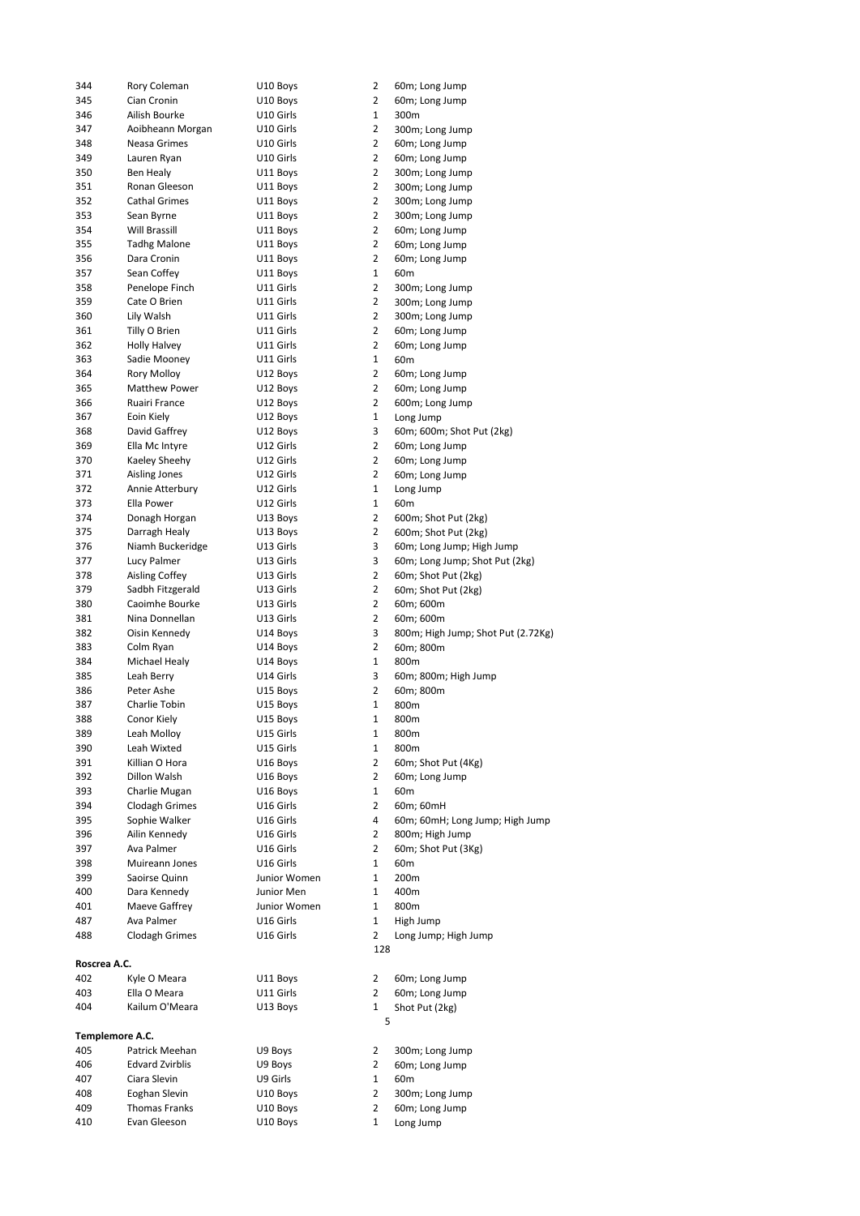| 344             | Rory Coleman           | U10 Boys     | 2              | 60m; Long Jump                     |
|-----------------|------------------------|--------------|----------------|------------------------------------|
| 345             | Cian Cronin            | U10 Boys     | 2              | 60m; Long Jump                     |
| 346             | Ailish Bourke          | U10 Girls    | $\mathbf{1}$   | 300m                               |
| 347             | Aoibheann Morgan       | U10 Girls    | $\overline{2}$ | 300m; Long Jump                    |
|                 |                        |              |                |                                    |
| 348             | Neasa Grimes           | U10 Girls    | $\overline{2}$ | 60m; Long Jump                     |
| 349             | Lauren Ryan            | U10 Girls    | $\overline{2}$ | 60m; Long Jump                     |
| 350             | Ben Healy              | U11 Boys     | $\overline{2}$ | 300m; Long Jump                    |
| 351             | Ronan Gleeson          | U11 Boys     | $\overline{2}$ | 300m; Long Jump                    |
| 352             | <b>Cathal Grimes</b>   | U11 Boys     | $\overline{2}$ | 300m; Long Jump                    |
| 353             | Sean Byrne             | U11 Boys     | $\overline{2}$ | 300m; Long Jump                    |
| 354             | Will Brassill          | U11 Boys     | $\overline{2}$ | 60m; Long Jump                     |
|                 |                        |              |                |                                    |
| 355             | <b>Tadhg Malone</b>    | U11 Boys     | $\overline{2}$ | 60m; Long Jump                     |
| 356             | Dara Cronin            | U11 Boys     | $\overline{2}$ | 60m; Long Jump                     |
| 357             | Sean Coffey            | U11 Boys     | 1              | 60m                                |
| 358             | Penelope Finch         | U11 Girls    | $\overline{2}$ | 300m; Long Jump                    |
| 359             | Cate O Brien           | U11 Girls    | $\overline{2}$ | 300m; Long Jump                    |
| 360             | Lily Walsh             | U11 Girls    | $\overline{2}$ | 300m; Long Jump                    |
|                 |                        |              | 2              |                                    |
| 361             | Tilly O Brien          | U11 Girls    |                | 60m; Long Jump                     |
| 362             | Holly Halvey           | U11 Girls    | $\overline{2}$ | 60m; Long Jump                     |
| 363             | Sadie Mooney           | U11 Girls    | 1              | 60m                                |
| 364             | <b>Rory Molloy</b>     | U12 Boys     | 2              | 60m; Long Jump                     |
| 365             | <b>Matthew Power</b>   | U12 Boys     | $\overline{2}$ | 60m; Long Jump                     |
| 366             | Ruairi France          | U12 Boys     | $\overline{2}$ | 600m; Long Jump                    |
| 367             | Eoin Kiely             | U12 Boys     | 1              | Long Jump                          |
|                 |                        |              |                |                                    |
| 368             | David Gaffrey          | U12 Boys     | 3              | 60m; 600m; Shot Put (2kg)          |
| 369             | Ella Mc Intyre         | U12 Girls    | $\overline{2}$ | 60m; Long Jump                     |
| 370             | Kaeley Sheehy          | U12 Girls    | 2              | 60m; Long Jump                     |
| 371             | <b>Aisling Jones</b>   | U12 Girls    | $\overline{2}$ | 60m; Long Jump                     |
| 372             | Annie Atterbury        | U12 Girls    | 1              | Long Jump                          |
| 373             | Ella Power             | U12 Girls    | 1              | 60m                                |
|                 |                        |              | 2              |                                    |
| 374             | Donagh Horgan          | U13 Boys     |                | 600m; Shot Put (2kg)               |
| 375             | Darragh Healy          | U13 Boys     | 2              | 600m; Shot Put (2kg)               |
| 376             | Niamh Buckeridge       | U13 Girls    | 3              | 60m; Long Jump; High Jump          |
| 377             | Lucy Palmer            | U13 Girls    | 3              | 60m; Long Jump; Shot Put (2kg)     |
| 378             | <b>Aisling Coffey</b>  | U13 Girls    | $\overline{2}$ | 60m; Shot Put (2kg)                |
| 379             | Sadbh Fitzgerald       | U13 Girls    | 2              | 60m; Shot Put (2kg)                |
| 380             | Caoimhe Bourke         | U13 Girls    | $\overline{2}$ | 60m; 600m                          |
|                 |                        |              |                |                                    |
| 381             | Nina Donnellan         | U13 Girls    | $\overline{2}$ | 60m; 600m                          |
| 382             | Oisin Kennedy          | U14 Boys     | 3              | 800m; High Jump; Shot Put (2.72Kg) |
| 383             | Colm Ryan              | U14 Boys     | $\overline{2}$ | 60m; 800m                          |
| 384             | Michael Healy          | U14 Boys     | $\mathbf 1$    | 800m                               |
| 385             | Leah Berry             | U14 Girls    | 3              | 60m; 800m; High Jump               |
| 386             | Peter Ashe             | U15 Boys     | $\overline{2}$ | 60m; 800m                          |
|                 |                        |              | 1              | 800m                               |
| 387             | Charlie Tobin          | U15 Boys     |                |                                    |
| 388             | Conor Kiely            | U15 Boys     | 1              | 800m                               |
| 389             | Leah Molloy            | U15 Girls    |                |                                    |
| 390             |                        |              | 1              | 800m                               |
|                 | Leah Wixted            | U15 Girls    | 1              | 800m                               |
| 391             |                        | U16 Boys     | 2              |                                    |
|                 | Killian O Hora         |              |                | 60m; Shot Put (4Kg)                |
| 392             | Dillon Walsh           | U16 Boys     | 2              | 60m; Long Jump                     |
| 393             | Charlie Mugan          | U16 Boys     | 1              | 60m                                |
| 394             | Clodagh Grimes         | U16 Girls    | $\overline{2}$ | 60m; 60mH                          |
| 395             | Sophie Walker          | U16 Girls    | 4              | 60m; 60mH; Long Jump; High Jump    |
| 396             | Ailin Kennedy          | U16 Girls    | 2              | 800m; High Jump                    |
| 397             | Ava Palmer             | U16 Girls    | 2              |                                    |
|                 |                        |              |                | 60m; Shot Put (3Kg)                |
| 398             | Muireann Jones         | U16 Girls    | 1              | 60m                                |
| 399             | Saoirse Quinn          | Junior Women | $\mathbf{1}$   | 200m                               |
| 400             | Dara Kennedy           | Junior Men   | 1              | 400m                               |
| 401             | Maeve Gaffrey          | Junior Women | 1              | 800m                               |
| 487             | Ava Palmer             | U16 Girls    | $\mathbf{1}$   | High Jump                          |
| 488             | <b>Clodagh Grimes</b>  | U16 Girls    | 2              | Long Jump; High Jump               |
|                 |                        |              |                |                                    |
|                 |                        |              | 128            |                                    |
| Roscrea A.C.    |                        |              |                |                                    |
| 402             | Kyle O Meara           | U11 Boys     | 2              | 60m; Long Jump                     |
| 403             | Ella O Meara           | U11 Girls    | $\overline{2}$ | 60m; Long Jump                     |
| 404             | Kailum O'Meara         | U13 Boys     | 1              | Shot Put (2kg)                     |
|                 |                        |              | 5              |                                    |
| Templemore A.C. |                        |              |                |                                    |
| 405             | Patrick Meehan         | U9 Boys      | $\overline{2}$ |                                    |
|                 |                        |              |                | 300m; Long Jump                    |
| 406             | <b>Edvard Zvirblis</b> | U9 Boys      | 2              | 60m; Long Jump                     |
| 407             | Ciara Slevin           | U9 Girls     | 1              | 60m                                |
| 408             | Eoghan Slevin          | U10 Boys     | 2              | 300m; Long Jump                    |
| 409             | Thomas Franks          | U10 Boys     | 2              | 60m; Long Jump                     |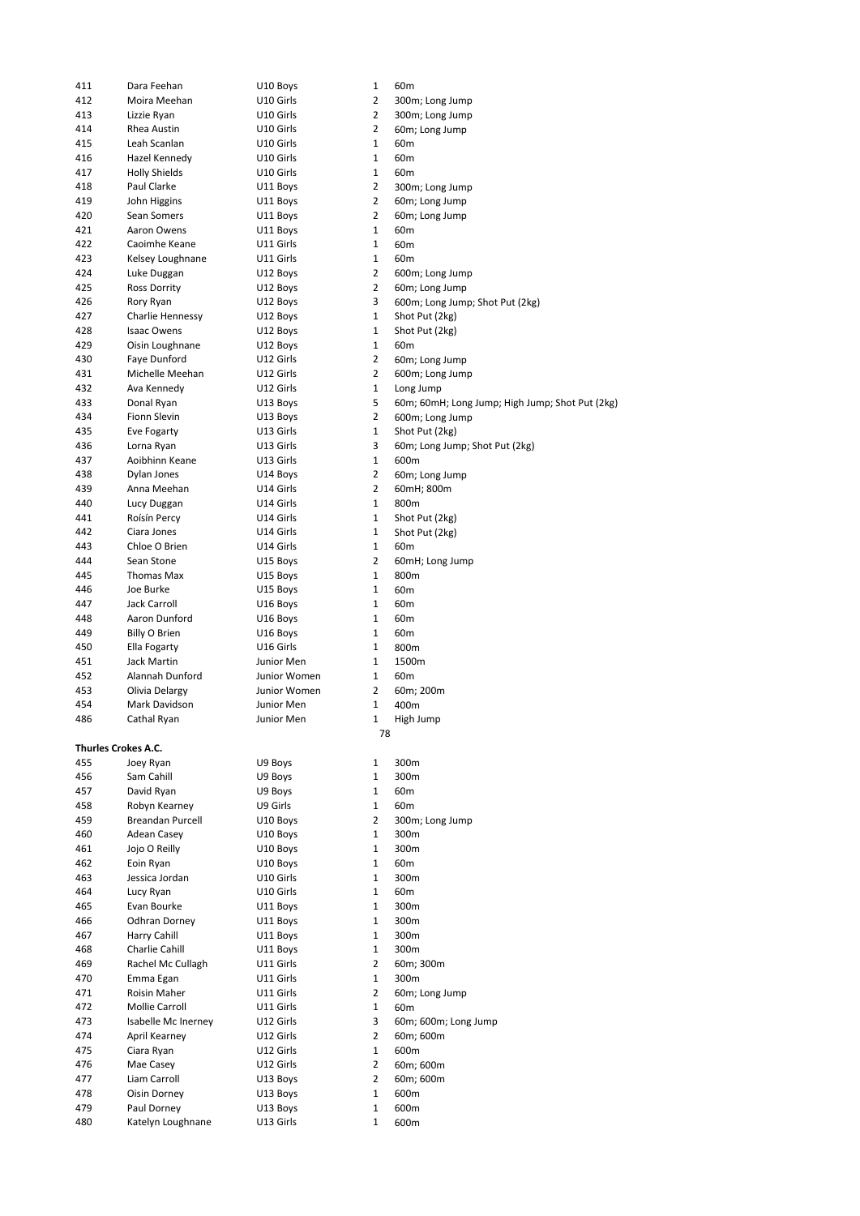| 411 | Dara Feehan          | U10 Boys     | 1              | 60m                                             |
|-----|----------------------|--------------|----------------|-------------------------------------------------|
| 412 | Moira Meehan         | U10 Girls    | 2              | 300m; Long Jump                                 |
| 413 | Lizzie Ryan          | U10 Girls    | 2              | 300m; Long Jump                                 |
| 414 | Rhea Austin          | U10 Girls    | 2              | 60m; Long Jump                                  |
| 415 | Leah Scanlan         | U10 Girls    | 1              | 60 <sub>m</sub>                                 |
| 416 | Hazel Kennedy        | U10 Girls    | 1              | 60 <sub>m</sub>                                 |
| 417 | <b>Holly Shields</b> | U10 Girls    | 1              | 60 <sub>m</sub>                                 |
| 418 | Paul Clarke          |              | 2              |                                                 |
|     |                      | U11 Boys     |                | 300m; Long Jump                                 |
| 419 | John Higgins         | U11 Boys     | 2              | 60m; Long Jump                                  |
| 420 | Sean Somers          | U11 Boys     | 2              | 60m; Long Jump                                  |
| 421 | Aaron Owens          | U11 Boys     | 1              | 60 <sub>m</sub>                                 |
| 422 | Caoimhe Keane        | U11 Girls    | $\mathbf{1}$   | 60 <sub>m</sub>                                 |
| 423 | Kelsey Loughnane     | U11 Girls    | 1              | 60 <sub>m</sub>                                 |
| 424 | Luke Duggan          | U12 Boys     | 2              | 600m; Long Jump                                 |
| 425 | Ross Dorrity         | U12 Boys     | 2              | 60m; Long Jump                                  |
| 426 | Rory Ryan            | U12 Boys     | 3              | 600m; Long Jump; Shot Put (2kg)                 |
| 427 | Charlie Hennessy     | U12 Boys     | 1              | Shot Put (2kg)                                  |
| 428 | <b>Isaac Owens</b>   | U12 Boys     | 1              | Shot Put (2kg)                                  |
| 429 | Oisin Loughnane      | U12 Boys     | $\mathbf{1}$   | 60 <sub>m</sub>                                 |
| 430 | Faye Dunford         | U12 Girls    | 2              | 60m; Long Jump                                  |
| 431 | Michelle Meehan      | U12 Girls    | 2              | 600m; Long Jump                                 |
| 432 | Ava Kennedy          | U12 Girls    | 1              | Long Jump                                       |
|     |                      |              | 5              |                                                 |
| 433 | Donal Ryan           | U13 Boys     |                | 60m; 60mH; Long Jump; High Jump; Shot Put (2kg) |
| 434 | <b>Fionn Slevin</b>  | U13 Boys     | $\overline{2}$ | 600m; Long Jump                                 |
| 435 | Eve Fogarty          | U13 Girls    | 1              | Shot Put (2kg)                                  |
| 436 | Lorna Ryan           | U13 Girls    | 3              | 60m; Long Jump; Shot Put (2kg)                  |
| 437 | Aoibhinn Keane       | U13 Girls    | 1              | 600m                                            |
| 438 | Dylan Jones          | U14 Boys     | 2              | 60m; Long Jump                                  |
| 439 | Anna Meehan          | U14 Girls    | 2              | 60mH; 800m                                      |
| 440 | Lucy Duggan          | U14 Girls    | 1              | 800m                                            |
| 441 | Roísín Percy         | U14 Girls    | 1              | Shot Put (2kg)                                  |
| 442 | Ciara Jones          | U14 Girls    | $\mathbf{1}$   | Shot Put (2kg)                                  |
| 443 | Chloe O Brien        | U14 Girls    | 1              | 60 <sub>m</sub>                                 |
| 444 | Sean Stone           | U15 Boys     | 2              | 60mH; Long Jump                                 |
| 445 | Thomas Max           | U15 Boys     | $\mathbf{1}$   | 800m                                            |
| 446 | Joe Burke            | U15 Boys     | 1              | 60 <sub>m</sub>                                 |
|     |                      |              |                |                                                 |
| 447 | Jack Carroll         | U16 Boys     | 1              | 60m                                             |
| 448 | Aaron Dunford        | U16 Boys     | $\mathbf{1}$   | 60 <sub>m</sub>                                 |
| 449 | Billy O Brien        | U16 Boys     | 1              | 60m                                             |
| 450 | Ella Fogarty         | U16 Girls    | 1              | 800m                                            |
| 451 | <b>Jack Martin</b>   | Junior Men   | 1              | 1500m                                           |
| 452 | Alannah Dunford      | Junior Women | 1              | 60m                                             |
| 453 | Olivia Delargy       | Junior Women | 2              | 60m; 200m                                       |
| 454 | Mark Davidson        | Junior Men   | 1              | 400m                                            |
| 486 | Cathal Ryan          | Junior Men   | 1              | High Jump                                       |
|     |                      |              | 78             |                                                 |
|     | Thurles Crokes A.C.  |              |                |                                                 |
| 455 | Joey Ryan            | U9 Boys      | 1              | 300m                                            |
| 456 | Sam Cahill           | U9 Boys      | 1              | 300m                                            |
| 457 | David Ryan           | U9 Boys      | $\mathbf{1}$   | 60 <sub>m</sub>                                 |
| 458 | Robyn Kearney        | U9 Girls     | 1              | 60 <sub>m</sub>                                 |
|     |                      |              |                |                                                 |
| 459 | Breandan Purcell     | U10 Boys     | 2              | 300m; Long Jump                                 |
| 460 | <b>Adean Casey</b>   | U10 Boys     | 1              | 300m                                            |
| 461 | Jojo O Reilly        | U10 Boys     | 1              | 300m                                            |
| 462 | Eoin Ryan            | U10 Boys     | 1              | 60 <sub>m</sub>                                 |
| 463 | Jessica Jordan       | U10 Girls    | 1              | 300m                                            |
| 464 | Lucy Ryan            | U10 Girls    | 1              | 60 <sub>m</sub>                                 |
| 465 | Evan Bourke          | U11 Boys     | 1              | 300m                                            |
| 466 | Odhran Dorney        | U11 Boys     | 1              | 300m                                            |
| 467 | Harry Cahill         | U11 Boys     | 1              | 300m                                            |
| 468 | Charlie Cahill       | U11 Boys     | 1              | 300m                                            |
| 469 | Rachel Mc Cullagh    | U11 Girls    | 2              | 60m; 300m                                       |
| 470 | Emma Egan            | U11 Girls    | 1              | 300m                                            |
| 471 | Roisin Maher         | U11 Girls    | 2              | 60m; Long Jump                                  |
|     |                      |              |                |                                                 |
| 472 | Mollie Carroll       | U11 Girls    | 1              | 60 <sub>m</sub>                                 |
| 473 | Isabelle Mc Inerney  | U12 Girls    | 3              | 60m; 600m; Long Jump                            |
| 474 | April Kearney        | U12 Girls    | 2              | 60m; 600m                                       |
| 475 | Ciara Ryan           | U12 Girls    | 1              | 600m                                            |
| 476 | Mae Casey            | U12 Girls    | 2              | 60m; 600m                                       |
| 477 | Liam Carroll         | U13 Boys     | 2              | 60m; 600m                                       |
| 478 | Oisin Dorney         | U13 Boys     | 1              | 600m                                            |
| 479 | Paul Dorney          | U13 Boys     | 1              | 600m                                            |
| 480 | Katelyn Loughnane    | U13 Girls    | 1              | 600m                                            |